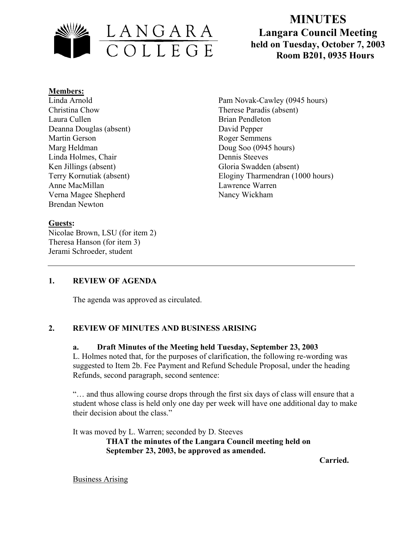

# **MINUTES Langara Council Meeting held on Tuesday, October 7, 2003**

#### **Members:**

Linda Arnold Christina Chow Laura Cullen Deanna Douglas (absent) Martin Gerson Marg Heldman Linda Holmes, Chair Ken Jillings (absent) Terry Kornutiak (absent) Anne MacMillan Verna Magee Shepherd Brendan Newton

## **Guests:**

Nicolae Brown, LSU (for item 2) Theresa Hanson (for item 3) Jerami Schroeder, student

Pam Novak-Cawley (0945 hours) Therese Paradis (absent) Brian Pendleton David Pepper Roger Semmens Doug Soo (0945 hours) Dennis Steeves Gloria Swadden (absent) Eloginy Tharmendran (1000 hours) Lawrence Warren Nancy Wickham

## **1. REVIEW OF AGENDA**

The agenda was approved as circulated.

### **2. REVIEW OF MINUTES AND BUSINESS ARISING**

#### **a. Draft Minutes of the Meeting held Tuesday, September 23, 2003**

L. Holmes noted that, for the purposes of clarification, the following re-wording was suggested to Item 2b. Fee Payment and Refund Schedule Proposal, under the heading Refunds, second paragraph, second sentence:

"… and thus allowing course drops through the first six days of class will ensure that a student whose class is held only one day per week will have one additional day to make their decision about the class."

It was moved by L. Warren; seconded by D. Steeves

**THAT the minutes of the Langara Council meeting held on September 23, 2003, be approved as amended.** 

 **Carried.** 

**Business Arising**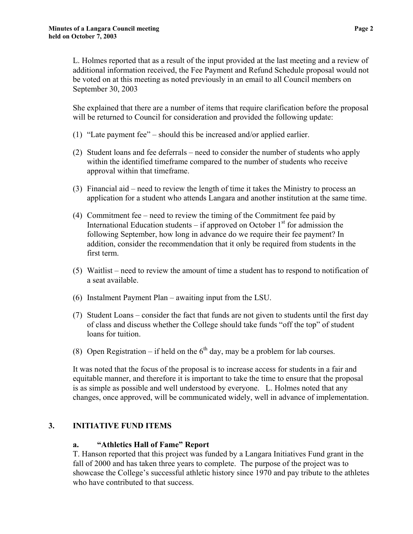L. Holmes reported that as a result of the input provided at the last meeting and a review of additional information received, the Fee Payment and Refund Schedule proposal would not be voted on at this meeting as noted previously in an email to all Council members on September 30, 2003

She explained that there are a number of items that require clarification before the proposal will be returned to Council for consideration and provided the following update:

- (1) "Late payment fee" should this be increased and/or applied earlier.
- (2) Student loans and fee deferrals need to consider the number of students who apply within the identified timeframe compared to the number of students who receive approval within that timeframe.
- (3) Financial aid need to review the length of time it takes the Ministry to process an application for a student who attends Langara and another institution at the same time.
- (4) Commitment fee need to review the timing of the Commitment fee paid by International Education students – if approved on October  $1<sup>st</sup>$  for admission the following September, how long in advance do we require their fee payment? In addition, consider the recommendation that it only be required from students in the first term.
- (5) Waitlist need to review the amount of time a student has to respond to notification of a seat available.
- (6) Instalment Payment Plan awaiting input from the LSU.
- (7) Student Loans consider the fact that funds are not given to students until the first day of class and discuss whether the College should take funds "off the top" of student loans for tuition.
- (8) Open Registration if held on the  $6<sup>th</sup>$  day, may be a problem for lab courses.

It was noted that the focus of the proposal is to increase access for students in a fair and equitable manner, and therefore it is important to take the time to ensure that the proposal is as simple as possible and well understood by everyone. L. Holmes noted that any changes, once approved, will be communicated widely, well in advance of implementation.

#### **3. INITIATIVE FUND ITEMS**

#### **a. "Athletics Hall of Fame" Report**

T. Hanson reported that this project was funded by a Langara Initiatives Fund grant in the fall of 2000 and has taken three years to complete. The purpose of the project was to showcase the College's successful athletic history since 1970 and pay tribute to the athletes who have contributed to that success.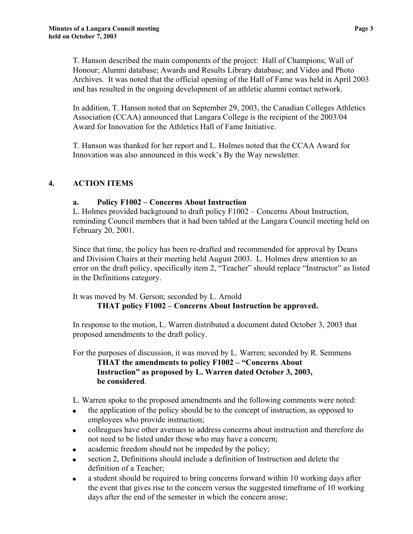T. Hanson described the main components of the project: Hall of Champions; Wall of Honour; Alumni database; Awards and Results Library database; and Video and Photo Archives. It was noted that the official opening of the Hall of Fame was held in April 2003 and has resulted in the ongoing development of an athletic alumni contact network.

In addition, T. Hanson noted that on September 29, 2003, the Canadian Colleges Athletics Association (CCAA) announced that Langara College is the recipient of the 2003/04 Award for Innovation for the Athletics Hall of Fame Initiative.

T. Hanson was thanked for her report and L. Holmes noted that the CCAA Award for Innovation was also announced in this week's By the Way newsletter.

## **4. ACTION ITEMS**

## **a. Policy F1002 – Concerns About Instruction**

L. Holmes provided background to draft policy F1002 – Concerns About Instruction, reminding Council members that it had been tabled at the Langara Council meeting held on February 20, 2001.

Since that time, the policy has been re-drafted and recommended for approval by Deans and Division Chairs at their meeting held August 2003. L. Holmes drew attention to an error on the draft policy, specifically item 2, "Teacher" should replace "Instructor" as listed in the Definitions category.

It was moved by M. Gerson; seconded by L. Arnold

## **THAT policy F1002 – Concerns About Instruction be approved.**

In response to the motion, L. Warren distributed a document dated October 3, 2003 that proposed amendments to the draft policy.

For the purposes of discussion, it was moved by L. Warren; seconded by R. Semmens

**THAT the amendments to policy F1002 – "Concerns About Instruction" as proposed by L. Warren dated October 3, 2003, be considered**.

L. Warren spoke to the proposed amendments and the following comments were noted:

- the application of the policy should be to the concept of instruction, as opposed to employees who provide instruction;
- colleagues have other avenues to address concerns about instruction and therefore do not need to be listed under those who may have a concern;
- academic freedom should not be impeded by the policy;
- section 2, Definitions should include a definition of Instruction and delete the definition of a Teacher;
- a student should be required to bring concerns forward within 10 working days after the event that gives rise to the concern versus the suggested timeframe of 10 working days after the end of the semester in which the concern arose;